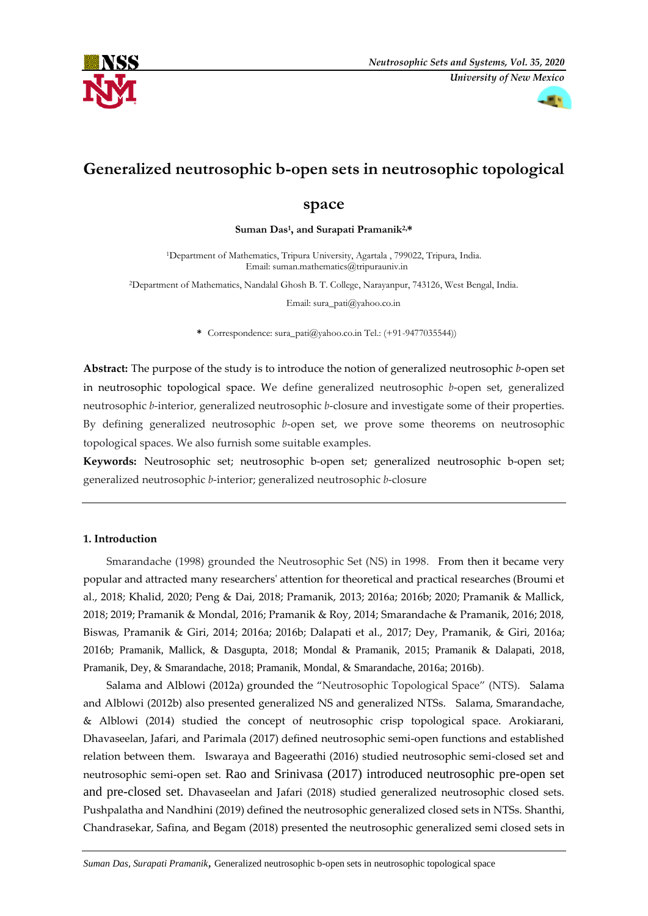



# **Generalized neutrosophic b-open sets in neutrosophic topological**

# **space**

**Suman Das<sup>1</sup> , and Surapati Pramanik2,\***

<sup>1</sup>Department of Mathematics, Tripura University, Agartala , 799022, Tripura, India. Email: [suman.mathematics@tripurauniv.in](mailto:1suman.mathematics@tripurauniv.in)

<sup>2</sup>Department of Mathematics, Nandalal Ghosh B. T. College, Narayanpur, 743126, West Bengal, India.

Email: [sura\\_pati@yahoo.co.in](mailto:%20sura_pati@yahoo.co.in)

**\*** Correspondence: sura\_pati@yahoo.co.in Tel.: (+91-9477035544))

**Abstract:** The purpose of the study is to introduce the notion of generalized neutrosophic *b*-open set in neutrosophic topological space. We define generalized neutrosophic *b*-open set, generalized neutrosophic *b*-interior, generalized neutrosophic *b*-closure and investigate some of their properties. By defining generalized neutrosophic *b*-open set, we prove some theorems on neutrosophic topological spaces. We also furnish some suitable examples.

**Keywords:** Neutrosophic set; neutrosophic b-open set; generalized neutrosophic b-open set; generalized neutrosophic *b*-interior; generalized neutrosophic *b*-closure

# **1. Introduction**

Smarandache (1998) grounded the Neutrosophic Set (NS) in 1998*.* From then it became very popular and attracted many researchers' attention for theoretical and practical researches (Broumi et al., 2018; Khalid, 2020; Peng & Dai, 2018; Pramanik, 2013; 2016a; 2016b; 2020; Pramanik & Mallick, 2018; 2019; Pramanik & Mondal, 2016; Pramanik & Roy, 2014; Smarandache & Pramanik, 2016; 2018, Biswas, Pramanik & Giri, 2014; 2016a; 2016b; Dalapati et al., 2017; Dey, Pramanik, & Giri, 2016a; 2016b; Pramanik, Mallick, & Dasgupta, 2018; Mondal & Pramanik, 2015; Pramanik & Dalapati, 2018, Pramanik, Dey, & Smarandache, 2018; Pramanik, Mondal, & Smarandache, 2016a; 2016b)*.*

Salama and Alblowi (2012a) grounded the "Neutrosophic Topological Space" (NTS). Salama and Alblowi (2012b) also presented generalized NS and generalized NTSs. Salama, Smarandache, & Alblowi (2014) studied the concept of neutrosophic crisp topological space. Arokiarani, Dhavaseelan, Jafari, and Parimala (2017) defined neutrosophic semi-open functions and established relation between them. Iswaraya and Bageerathi (2016) studied neutrosophic semi-closed set and neutrosophic semi-open set. Rao and Srinivasa (2017) introduced neutrosophic pre-open set and pre-closed set. Dhavaseelan and Jafari (2018) studied generalized neutrosophic closed sets. Pushpalatha and Nandhini (2019) defined the neutrosophic generalized closed sets in NTSs. Shanthi, Chandrasekar, Safina, and Begam (2018) presented the neutrosophic generalized semi closed sets in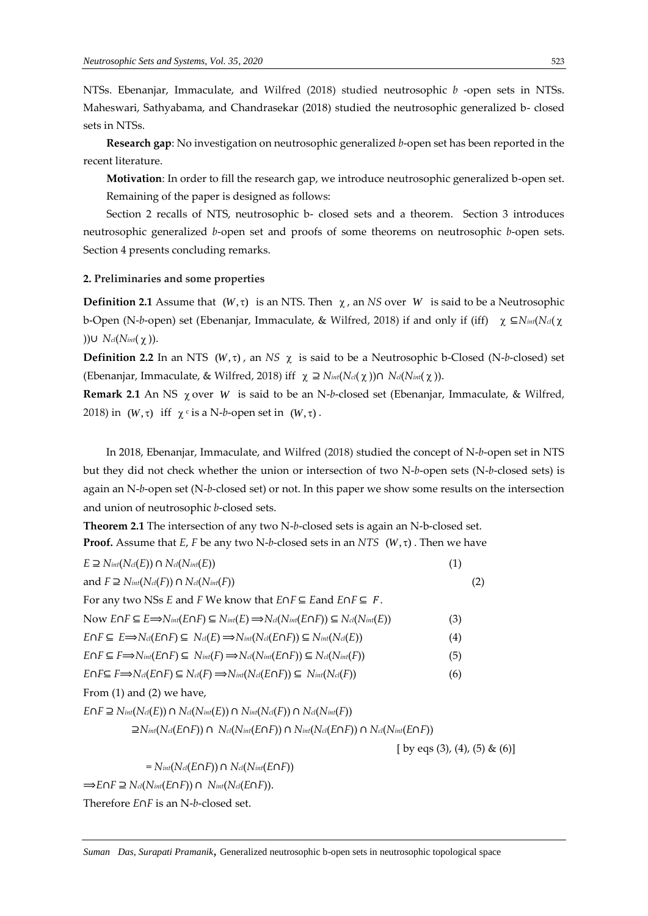NTSs. Ebenanjar, Immaculate, and Wilfred (2018) studied neutrosophic *b* -open sets in NTSs. Maheswari, Sathyabama, and Chandrasekar (2018) studied the neutrosophic generalized b- closed sets in NTSs.

**Research gap**: No investigation on neutrosophic generalized *b*-open set has been reported in the recent literature.

**Motivation**: In order to fill the research gap, we introduce neutrosophic generalized b-open set. Remaining of the paper is designed as follows:

Section 2 recalls of NTS, neutrosophic b- closed sets and a theorem. Section 3 introduces neutrosophic generalized *b*-open set and proofs of some theorems on neutrosophic *b*-open sets. Section 4 presents concluding remarks.

#### **2. Preliminaries and some properties**

**Definition 2.1** Assume that  $(W, \tau)$  is an NTS. Then  $\chi$ , an NS over W is said to be a Neutrosophic b-Open (N-*b*-open) set (Ebenanjar, Immaculate, & Wilfred, 2018) if and only if (iff) ⊆*Nint*(*Ncl*( ))∪ *Ncl*(*Nint*(γ)).

**Definition 2.2** In an NTS ( $W, \tau$ ), an NS  $\chi$  is said to be a Neutrosophic b-Closed (N-b-closed) set (Ebenanjar, Immaculate, & Wilfred, 2018) iff  $\chi$  ⊇  $N_{int}(N_{c}l(χ))$ ∩  $N_{c}l(N_{int}(χ))$ .

Remark 2.1 An NS  $χ$  over *W* is said to be an N-b-closed set (Ebenanjar, Immaculate, & Wilfred, 2018) in  $(W, \tau)$  iff  $\chi$ <sup>c</sup> is a N-*b*-open set in  $(W, \tau)$ .

In 2018, Ebenanjar, Immaculate, and Wilfred (2018) studied the concept of N-*b*-open set in NTS but they did not check whether the union or intersection of two N-*b*-open sets (N-*b*-closed sets) is again an N-*b*-open set (N-*b*-closed set) or not. In this paper we show some results on the intersection and union of neutrosophic *b*-closed sets.

**Theorem 2.1** The intersection of any two N-*b*-closed sets is again an N-b-closed set. **Proof.** Assume that  $E$ ,  $F$  be any two N-b-closed sets in an  $NTS$  ( $W, \tau$ ). Then we have

| $E \supseteq N_{int}(N_{cl}(E)) \cap N_{cl}(N_{int}(E))$                                                                                                 | (1)                           |
|----------------------------------------------------------------------------------------------------------------------------------------------------------|-------------------------------|
| and $F \supseteq N_{int}(N_{cl}(F)) \cap N_{cl}(N_{int}(F))$                                                                                             | (2)                           |
| For any two NSs E and F We know that $E \cap F \subseteq E$ and $E \cap F \subseteq F$ .                                                                 |                               |
| Now $E \cap F \subseteq E \Longrightarrow N_{int}(E \cap F) \subseteq N_{int}(E) \Longrightarrow N_{cl}(N_{int}(E \cap F)) \subseteq N_{cl}(N_{int}(E))$ | (3)                           |
| $E \cap F \subseteq E \Longrightarrow N_{cl}(E \cap F) \subseteq N_{cl}(E) \Longrightarrow N_{int}(N_{cl}(E \cap F)) \subseteq N_{int}(N_{cl}(E))$       | (4)                           |
| $E \cap F \subseteq F \Longrightarrow N_{int}(E \cap F) \subseteq N_{int}(F) \Longrightarrow N_{cl}(N_{int}(E \cap F)) \subseteq N_{cl}(N_{int}(F))$     | (5)                           |
| $E \cap F \subseteq F \Longrightarrow N_{cl}(E \cap F) \subseteq N_{cl}(F) \Longrightarrow N_{int}(N_{cl}(E \cap F)) \subseteq N_{int}(N_{cl}(F))$       | (6)                           |
| From $(1)$ and $(2)$ we have,                                                                                                                            |                               |
| $E \cap F \supseteq N_{int}(N_{cl}(E)) \cap N_{cl}(N_{int}(E)) \cap N_{int}(N_{cl}(F)) \cap N_{cl}(N_{int}(F))$                                          |                               |
| $\supseteq N_{int}(N_{cl}(E\cap F)) \cap N_{cl}(N_{int}(E\cap F)) \cap N_{int}(N_{cl}(E\cap F)) \cap N_{cl}(N_{int}(E\cap F))$                           |                               |
|                                                                                                                                                          | [ by eqs (3), (4), (5) & (6)] |
| $N_{int}(N_{cl}(E\cap F)) \cap N_{cl}(N_{int}(E\cap F))$                                                                                                 |                               |
| $\Rightarrow E \cap F \supseteq N_{cl}(N_{int}(E \cap F)) \cap N_{int}(N_{cl}(E \cap F)).$                                                               |                               |
| Therefore $E \cap F$ is an N-b-closed set.                                                                                                               |                               |
|                                                                                                                                                          |                               |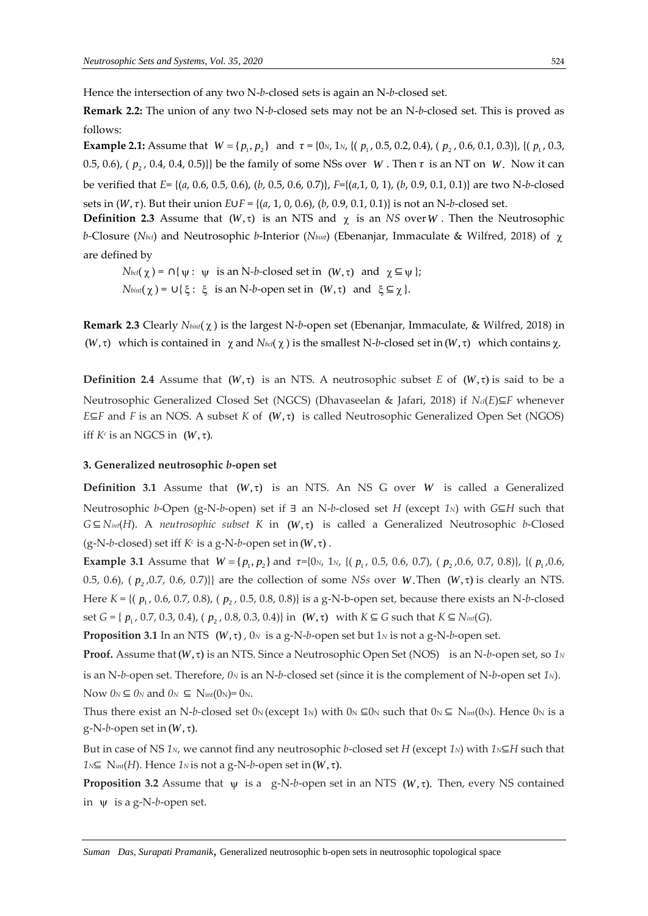Hence the intersection of any two N-*b*-closed sets is again an N-*b*-closed set.

**Remark 2.2:** The union of any two N-*b*-closed sets may not be an N-*b*-closed set. This is proved as follows:

**Example 2.1:** Assume that 1 2 *W p p* { , } and = {0*N*, 1*N*, {( 1 *p* , 0.5, 0.2, 0.4), ( 2 *p* , 0.6, 0.1, 0.3)}, {( 1 *p* , 0.3, 0.5, 0.6),  $(p_2, 0.4, 0.4, 0.5)$ } be the family of some NSs over *W*. Then  $\tau$  is an NT on *W*. Now it can be verified that *E*= {(*a*, 0.6, 0.5, 0.6), (*b*, 0.5, 0.6, 0.7)}, *F*={(*a*,1, 0, 1), (*b*, 0.9, 0.1, 0.1)} are two N-*b*-closed sets in  $(W, \tau)$ . But their union  $E \cup F = \{(a, 1, 0, 0.6), (b, 0.9, 0.1, 0.1)\}$  is not an N-*b*-closed set.

**Definition 2.3** Assume that  $(W, \tau)$  is an NTS and  $\chi$  is an *NS* over *W*. Then the Neutrosophic *b-*Closure (*Nbcl*) and Neutrosophic *b*-Interior (*Nbint*) (Ebenanjar, Immaculate & Wilfred, 2018) of are defined by

 $N_{\text{bol}}(\chi) = \bigcap \{\psi : \psi \text{ is an N-}b\text{-closed set in } (W,\tau) \text{ and } \chi \subseteq \psi\};$  $N_{\text{bint}}(\chi) = \cup \{ \xi : \xi \text{ is an N-}b\text{-open set in } (W,\tau) \text{ and } \xi \subseteq \chi \}.$ 

Remark 2.3 Clearly *Nbint*(χ) is the largest N-b-open set (Ebenanjar, Immaculate, & Wilfred, 2018) in  $(W, \tau)$  which is contained in  $\chi$  and  $N_{bcl}(\chi)$  is the smallest N-b-closed set in  $(W, \tau)$  which contains  $\chi$ .

**Definition 2.4** Assume that  $(W, \tau)$  is an NTS. A neutrosophic subset *E* of  $(W, \tau)$  is said to be a Neutrosophic Generalized Closed Set (NGCS) (Dhavaseelan & Jafari, 2018) if *Ncl*(*E*)⊆*F* whenever *E*⊆*F* and *F* is an NOS. A subset *K* of (*W*,  $\tau$ ) is called Neutrosophic Generalized Open Set (NGOS) iff  $K^c$  is an NGCS in  $(W, \tau)$ .

### **3. Generalized neutrosophic** *b***-open set**

**Definition 3.1** Assume that  $(W, \tau)$  is an NTS. An NS G over W is called a Generalized Neutrosophic *b*-Open (g-N-*b*-open) set if ∃ an N-*b*-closed set *H* (except *1N*) with *G*⊆*H* such that *G*⊆ *N*<sup>*int*</sup>(*H*). A *neutrosophic subset K* in (*W*, τ) is called a Generalized Neutrosophic *b*-Closed  $(g-N-b$ -closed) set iff  $K^c$  is a g-N-*b*-open set in  $(W, \tau)$ .

**Example 3.1** Assume that  $W = \{p_1, p_2\}$  and  $\tau = \{0_N, 1_N, \{(p_1, 0.5, 0.6, 0.7), (p_2, 0.6, 0.7, 0.8)\}, \{(p_1, 0.6, 0.7, 0.8)\}\$ 0.5, 0.6),  $(p_2, 0.7, 0.6, 0.7)$ }} are the collection of some *NSs* over *W*. Then  $(W, \tau)$  is clearly an NTS. Here *K* = {( $p_1$ , 0.6, 0.7, 0.8), ( $p_2$ , 0.5, 0.8, 0.8)} is a g-N-b-open set, because there exists an N-b-closed set *G* = {  $p_1$ , 0.7, 0.3, 0.4), (  $p_2$ , 0.8, 0.3, 0.4)} in (*W*, τ) with *K* ⊆ *G* such that *K* ⊆ *N*<sub>*int*</sub>(*G*).

**Proposition 3.1** In an NTS  $(W, \tau)$  ,  $0_N$  is a g-N-*b*-open set but 1*N* is not a g-N-*b*-open set.

**Proof.** Assume that (W,  $\tau$ ) is an NTS. Since a Neutrosophic Open Set (NOS) is an N-b-open set, so 1<sup>*N*</sup> is an N-*b-*open set. Therefore, *0<sup>N</sup>* is an N-*b-*closed set (since it is the complement of N-*b*-open set *1N*).

Now  $0_N \subseteq 0_N$  and  $0_N \subseteq$  Nint $(0_N) = 0_N$ .

Thus there exist an N-b-closed set  $0_N$  (except 1<sub>N</sub>) with  $0_N \subseteq 0_N$  such that  $0_N \subseteq N_{int}(0_N)$ . Hence  $0_N$  is a  $g-N-b$ -open set in  $(W, \tau)$ .

But in case of NS *1N*, we cannot find any neutrosophic *b*-closed set *H* (except *1N*) with *1N*⊆*H* such that  $1$ <sup>*N*⊆</sup> N<sub>int</sub>(*H*). Hence  $1$ <sup>*N*</sup> is not a g-N-*b*-open set in  $(W, \tau)$ .

**Proposition 3.2** Assume that  $\psi$  is a g-N-b-open set in an NTS ( $W, \tau$ ). Then, every NS contained in  $\psi$  is a g-N-*b*-open set.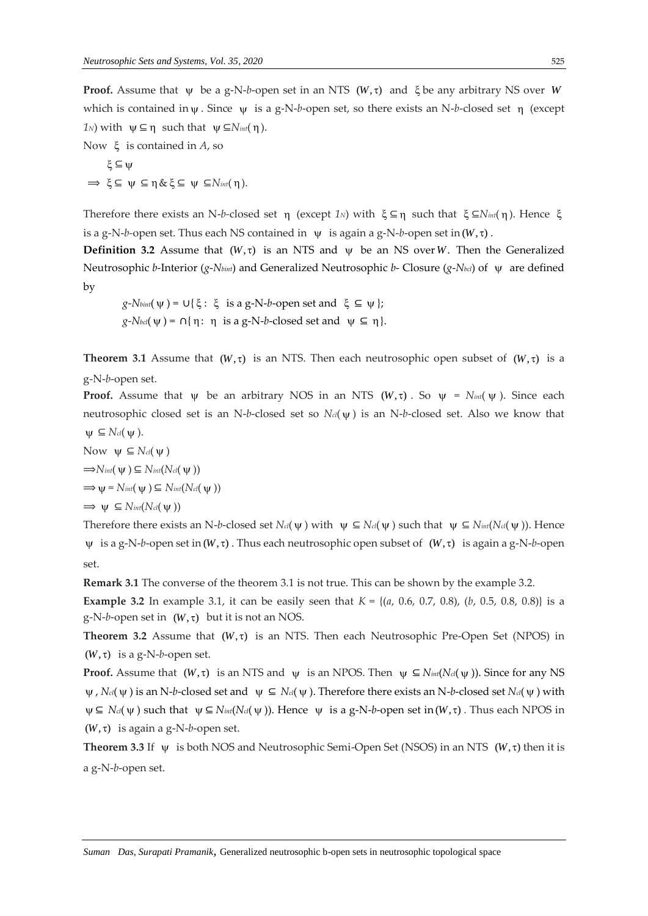**Proof.** Assume that  $\psi$  be a g-N-b-open set in an NTS  $(W, \tau)$  and  $\xi$  be any arbitrary NS over W which is contained in  $\psi$ . Since  $\psi$  is a g-N-b-open set, so there exists an N-b-closed set η (except  $1_N$ ) with  $\psi \subseteq \eta$  such that  $\psi \subseteq N_{int}(\eta)$ .

Now is contained in *A*, so  $\xi \subseteq \psi$  $\Rightarrow \xi \subseteq \psi \subseteq \eta \& \xi \subseteq \psi \subseteq N_{int}(\eta).$ 

Therefore there exists an N-*b*-closed set η (except 1<sub>N</sub>) with ξ⊆η such that ξ⊆N<sub>int</sub>(η). Hence ξ is a g-N-*b*-open set. Thus each NS contained in  $\psi$  is again a g-N-*b*-open set in  $(W, \tau)$ .

**Definition 3.2** Assume that  $(W, \tau)$  is an NTS and  $\psi$  be an NS over W. Then the Generalized Neutrosophic *b*-Interior (*g*-*Nbint*) and Generalized Neutrosophic *b*- Closure (*g*-*Nbcl*) of are defined by

 $g$ -*Nbint*( $\psi$ ) = U{ $\xi$ :  $\xi$  is a g-N-*b*-open set and  $\xi \subseteq \psi$ };  $g$ -*Nbcl*( $\psi$ ) = ∩{ $\eta$ :  $\eta$  is a g-N-*b*-closed set and  $\psi \subseteq \eta$ }.

**Theorem 3.1** Assume that  $(W, \tau)$  is an NTS. Then each neutrosophic open subset of  $(W, \tau)$  is a g-N-*b*-open set.

**Proof.** Assume that  $\psi$  be an arbitrary NOS in an NTS ( $W, \tau$ ). So  $\psi = N_{int}(\psi)$ . Since each neutrosophic closed set is an N-*b*-closed set so *Ncl*( ) is an N-*b*-closed set. Also we know that  $\Psi \subseteq N_{\text{cl}}(\Psi)$ .

Now  $\psi \subseteq N_{cl}(\psi)$  $\Rightarrow$ *Nint*( $\Psi$ )  $\subseteq$  *Nint*(*Ncl*( $\Psi$ ))  $\Rightarrow \Psi = N_{int}(\Psi) \subseteq N_{int}(N_{cl}(\Psi))$  $\Rightarrow$   $\psi \subseteq N_{int}(N_{cl}(\psi))$ 

Therefore there exists an N-*b*-closed set  $N_{cl}(\psi)$  with  $\psi \subseteq N_{cl}(\psi)$  such that  $\psi \subseteq N_{int}(N_{cl}(\psi))$ . Hence  $\psi$  is a g-N-*b*-open set in (W,  $\tau$ ). Thus each neutrosophic open subset of  $(W, \tau)$  is again a g-N-*b*-open set.

**Remark 3.1** The converse of the theorem 3.1 is not true. This can be shown by the example 3.2.

**Example 3.2** In example 3.1, it can be easily seen that  $K = \{(a, 0.6, 0.7, 0.8), (b, 0.5, 0.8, 0.8)\}$  is a  $g-N-b$ -open set in  $(W, \tau)$  but it is not an NOS.

Theorem 3.2 Assume that  $(W, \tau)$  is an NTS. Then each Neutrosophic Pre-Open Set (NPOS) in  $(W, \tau)$  is a g-N-b-open set.

**Proof.** Assume that  $(W, \tau)$  is an NTS and  $\psi$  is an NPOS. Then  $\psi \subseteq N_{int}(N_{cl}(\psi))$ . Since for any NS  $\psi$ , *N*<sup>*cl*</sup>( $\psi$ ) is an N-*b*-closed set and  $\psi \subseteq N$ <sup>*cl*</sup>( $\psi$ ). Therefore there exists an N-*b*-closed set *N*<sup>*cl*</sup>( $\psi$ ) with  $\psi \subseteq N_{cl}(\psi)$  such that  $\psi \subseteq N_{im}(N_{cl}(\psi))$ . Hence  $\psi$  is a g-N-*b*-open set in  $(W, \tau)$ . Thus each NPOS in  $(W, \tau)$  is again a g-N-b-open set.

**Theorem 3.3** If  $\psi$  is both NOS and Neutrosophic Semi-Open Set (NSOS) in an NTS ( $W, \tau$ ) then it is a g-N-*b*-open set.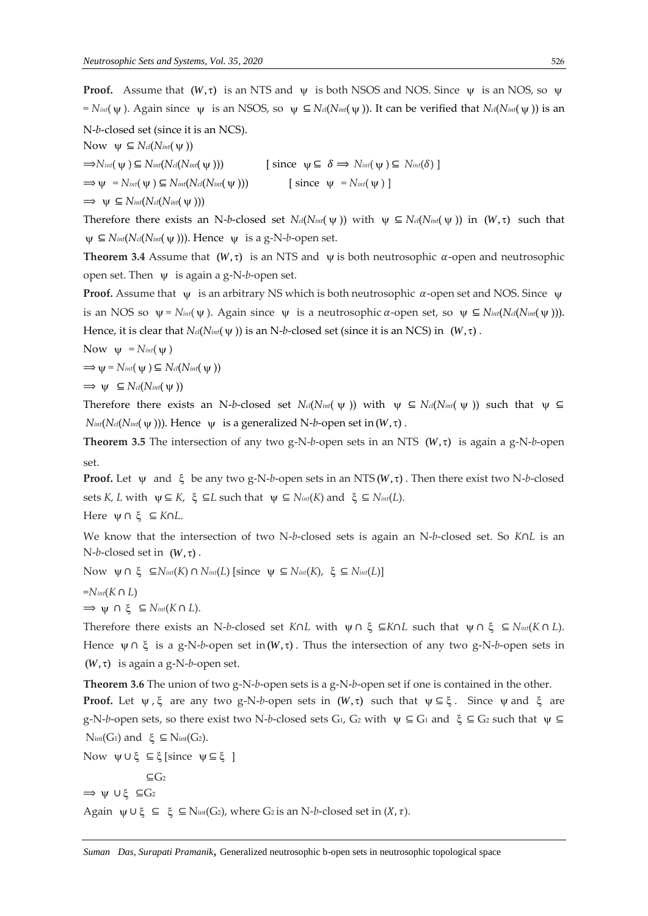**Proof.** Assume that  $(W, \tau)$  is an NTS and  $\psi$  is both NSOS and NOS. Since  $\psi$  is an NOS, so  $\psi$  $= N_{int}(\psi)$ . Again since  $\psi$  is an NSOS, so  $\psi \subseteq N_{cl}(N_{int}(\psi))$ . It can be verified that  $N_{cl}(N_{int}(\psi))$  is an N-*b*-closed set (since it is an NCS). Now  $\psi \subseteq N_{\text{cl}}(N_{\text{int}}(\psi))$  $\Rightarrow$ *N*<sup>*int*</sup>( $\psi$ ) ⊆ *Nint*(*Ncl*(*Nint*( $\psi$ (a))  $\text{[since } \psi \subseteq \delta \implies N_{\text{int}}(\psi) \subseteq N_{\text{int}}(\delta) \text{]}$  $\Rightarrow$   $\Psi$  =  $N$ *int*( $\Psi$ )  $\subseteq$   $N$ *int*( $N$ *cl*( $N$ *int*( $\Psi$ ())  $\qquad \qquad [\text{ since } \psi = N_{int}(\psi)]$ 

 $\Rightarrow$   $\psi \subseteq N_{int}(N_{cl}(N_{int}(\psi)))$ 

Therefore there exists an N-*b*-closed set  $N_d(N_{int}(\psi))$  with  $\psi \subseteq N_d(N_{int}(\psi))$  in  $(W, \tau)$  such that  $\psi$  ⊆ *N*<sup>*int*</sup>(*Ncl*(*Nint*( $\psi$ ))). Hence  $\psi$  is a g-N-*b*-open set.

**Theorem 3.4** Assume that  $(W, \tau)$  is an NTS and  $\psi$  is both neutrosophic  $\alpha$ -open and neutrosophic open set. Then is again a g-N-*b*-open set.

**Proof.** Assume that  $\psi$  is an arbitrary NS which is both neutrosophic  $\alpha$ -open set and NOS. Since  $\psi$ is an NOS so  $\psi = N_{int}(\psi)$ . Again since  $\psi$  is a neutrosophic  $\alpha$ -open set, so  $\psi \subseteq N_{int}(N_{cl}(N_{int}(\psi)))$ . Hence, it is clear that  $N_{cl}(N_{int}(\psi))$  is an N-b-closed set (since it is an NCS) in  $(W, \tau)$ .

Now  $\psi$  =  $N_{int}(\psi)$ 

 $\Rightarrow \psi = N_{int}(\psi) \subseteq N_{cl}(N_{int}(\psi))$ 

$$
\Rightarrow \psi \subseteq N_{\text{cl}}(N_{\text{int}}(\psi))
$$

Therefore there exists an N-b-closed set  $N_{cl}(N_{int}(\psi))$  with  $\psi \subseteq N_{cl}(N_{int}(\psi))$  such that  $\psi \subseteq$  $N_{int}(N_{cl}(N_{int}(\psi)))$ . Hence  $\psi$  is a generalized N-*b*-open set in  $(W, \tau)$ .

**Theorem 3.5** The intersection of any two g-N-b-open sets in an NTS  $(W, \tau)$  is again a g-N-b-open set.

**Proof.** Let  $\psi$  and  $\xi$  be any two g-N-b-open sets in an NTS( $W, \tau$ ). Then there exist two N-b-closed sets *K*, *L* with  $\psi \subseteq K$ ,  $\xi \subseteq L$  such that  $\psi \subseteq N_{int}(K)$  and  $\xi \subseteq N_{int}(L)$ .

Here ∩ ⊆*K*∩*L*.

We know that the intersection of two N-*b*-closed sets is again an N-*b*-closed set. So *K*∩*L* is an  $N-b$ -closed set in  $(W, \tau)$ .

Now  $\psi$  ∩ ξ  $\subseteq$ *N*<sub>int</sub>(*K*) ∩ *N*<sub>int</sub>(*L*) [since  $\psi$  ⊆ *N*<sub>int</sub>(*K*), ξ ⊆ *N*<sub>int</sub>(*L*)]

$$
=N_{int}(K\cap L)
$$

 $\Rightarrow$  ψ ∩ ξ ⊆  $N_{int}(K ∩ L)$ .

Therefore there exists an N-*b*-closed set *K∩L* with  $\psi$ ∩ξ ⊆*K∩L* such that  $\psi$ ∩ξ ⊆ *N<sub>int</sub>*(*K*∩*L*). Hence  $\psi \cap \xi$  is a g-N-*b*-open set in  $(W, \tau)$ . Thus the intersection of any two g-N-*b*-open sets in  $(W, \tau)$  is again a g-N-b-open set.

**Theorem 3.6** The union of two g-N-*b*-open sets is a g-N-*b*-open set if one is contained in the other. **Proof.** Let  $\psi$ ,  $\xi$  are any two g-N-b-open sets in  $(W, \tau)$  such that  $\psi \subseteq \xi$ . Since  $\psi$  and  $\xi$  are  $g-N-b$ -open sets, so there exist two N-*b*-closed sets  $G_1$ ,  $G_2$  with  $\psi \subseteq G_1$  and  $\xi \subseteq G_2$  such that  $\psi \subseteq G_1$  $N<sub>int</sub>(G<sub>1</sub>)$  and  $\xi \subseteq N<sub>int</sub>(G<sub>2</sub>)$ .

Now  $\psi \cup \xi$  ⊆ξ[since  $\psi \subseteq \xi$ ]

⊆G<sup>2</sup>

 $\Rightarrow$   $\psi \cup \xi \subseteq G_2$ 

Again  $\psi \cup \xi \subseteq \xi$  ⊆ N<sub>int</sub>(G<sub>2</sub>), where G<sub>2</sub> is an N-*b*-closed set in  $(X, \tau)$ .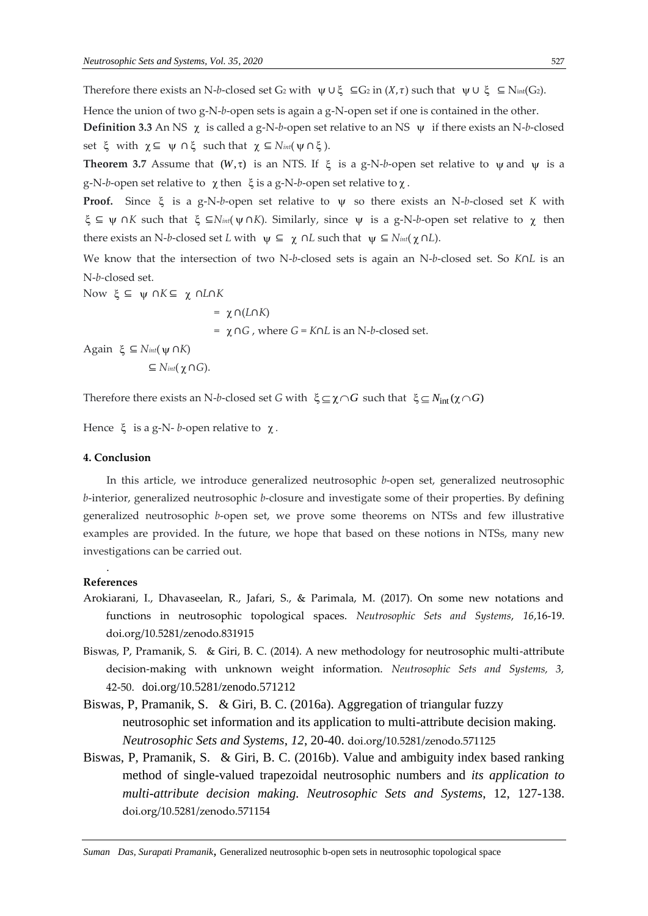Therefore there exists an N-*b*-closed set G<sub>2</sub> with  $\psi \cup \xi \subseteq G_2$  in  $(X, \tau)$  such that  $\psi \cup \xi \subseteq N_{int}(G_2)$ .

Hence the union of two g-N-*b*-open sets is again a g-N-open set if one is contained in the other. **Definition 3.3** An NS  $\chi$  is called a g-N-*b*-open set relative to an NS  $\psi$  if there exists an N-*b*-closed set  $\xi$  with  $\chi \subseteq \psi \cap \xi$  such that  $\chi \subseteq N_{int}(\psi \cap \xi)$ .

**Theorem 3.7** Assume that  $(W, \tau)$  is an NTS. If  $\xi$  is a g-N-b-open set relative to  $\psi$  and  $\psi$  is a g-N-*b*-open set relative to  $\chi$  then  $\xi$  is a g-N-*b*-open set relative to  $\chi$ .

Proof. Since  $\xi$  is a g-N-b-open set relative to  $\psi$  so there exists an N-b-closed set *K* with ⊆ ∩*K* such that ⊆*Nint*( ∩*K*). Similarly, since is a g-N-*b*-open set relative to then there exists an N-*b*-closed set *L* with  $\psi \subseteq \chi \cap L$  such that  $\psi \subseteq N_{int}(\chi \cap L)$ .

We know that the intersection of two N-*b*-closed sets is again an N-*b*-closed set. So *K*∩*L* is an N-*b-*closed set.

Now ξ ⊆ ψ ∩*K*⊆ χ ∩*L*∩*K* 

 $= \chi \cap (L \cap K)$ = ∩*G* , where *G* = *K*∩*L* is an N-*b*-closed set.

Again ξ ⊆  $N<sub>int</sub>$  (*ψ* ∩*K*)

 $\subseteq$  *Nint*( $\chi$  ∩*G*).

Therefore there exists an N-b-closed set *G* with  $\xi \subseteq \chi \cap G$  such that  $\xi \subseteq N_{int}(\chi \cap G)$ 

Hence  $\xi$  is a g-N- *b*-open relative to  $\chi$ .

## **4. Conclusion**

In this article, we introduce generalized neutrosophic *b*-open set, generalized neutrosophic *b*-interior, generalized neutrosophic *b*-closure and investigate some of their properties. By defining generalized neutrosophic *b*-open set, we prove some theorems on NTSs and few illustrative examples are provided. In the future, we hope that based on these notions in NTSs, many new investigations can be carried out.

## . **References**

- Arokiarani, I., Dhavaseelan, R., Jafari, S., & Parimala, M. (2017). On some new notations and functions in neutrosophic topological spaces. *Neutrosophic Sets and Systems*, *16*,16-19. doi.org/10.5281/zenodo.831915
- Biswas, P, Pramanik, S. & Giri, B. C. (2014). A new methodology for neutrosophic multi-attribute decision-making with unknown weight information. *Neutrosophic Sets and Systems, 3,*  42-50. doi.org/10.5281/zenodo.571212
- Biswas, P, Pramanik, S. & Giri, B. C. (2016a). Aggregation of triangular fuzzy neutrosophic set information and its application to multi-attribute decision making. *Neutrosophic Sets and Systems*, *12*, 20-40. doi.org/10.5281/zenodo.571125
- Biswas, P, Pramanik, S. & Giri, B. C. (2016b). Value and ambiguity index based ranking method of single-valued trapezoidal neutrosophic numbers and *its application to multi-attribute decision making. Neutrosophic Sets and Systems*, 12, 127-138. doi.org/10.5281/zenodo.571154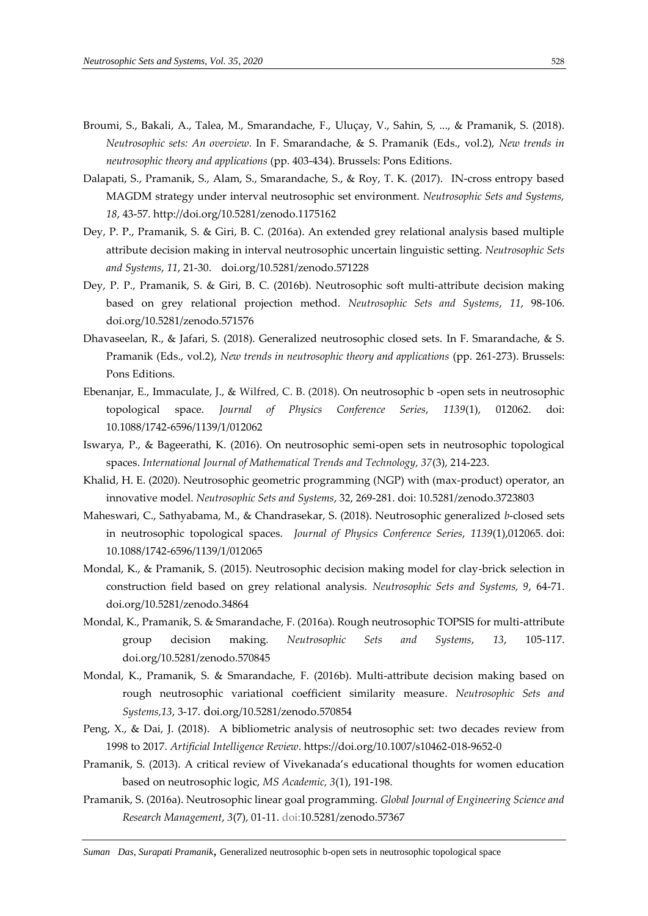- Broumi, S., Bakali, A., Talea, M., Smarandache, F., Uluçay, V., Sahin, S, ..., & Pramanik, S. (2018). *Neutrosophic sets: An overview.* In F. Smarandache, & S. Pramanik (Eds., vol.2), *New trends in neutrosophic theory and applications* (pp. 403-434). Brussels: Pons Editions.
- Dalapati, S., Pramanik, S., Alam, S., Smarandache, S., & Roy, T. K. (2017). IN-cross entropy based MAGDM strategy under interval neutrosophic set environment. *Neutrosophic Sets and Systems, 18*, 43-57. http://doi.org/10.5281/zenodo.1175162
- Dey, P. P., Pramanik, S. & Giri, B. C. (2016a). An extended grey relational analysis based multiple attribute decision making in interval neutrosophic uncertain linguistic setting. *Neutrosophic Sets and Systems*, *11*, 21-30. [doi.org/10.5281/zenodo.571228](https://doi.org/10.5281/zenodo.571228)
- Dey, P. P., Pramanik, S. & Giri, B. C. (2016b). Neutrosophic soft multi-attribute decision making based on grey relational projection method. *Neutrosophic Sets and Systems*, *11*, 98-106. doi.org/10.5281/zenodo.571576
- Dhavaseelan, R., & Jafari, S. (2018). Generalized neutrosophic closed sets. In F. Smarandache, & S. Pramanik (Eds., vol.2), *New trends in neutrosophic theory and applications* (pp. 261-273). Brussels: Pons Editions.
- Ebenanjar, E., Immaculate, J., & Wilfred, C. B. (2018). On neutrosophic b -open sets in neutrosophic topological space. *Journal of Physics Conference Series*, *1139*(1), 012062. doi: 10.1088/1742-6596/1139/1/012062
- Iswarya, P., & Bageerathi, K. (2016). On neutrosophic semi-open sets in neutrosophic topological spaces. *International Journal of Mathematical Trends and Technology, 37*(3), 214-223.
- Khalid, H. E. (2020). Neutrosophic geometric programming (NGP) with (max-product) operator, an innovative model. *Neutrosophic Sets and Systems*, 32, 269-281. doi: 10.5281/zenodo.3723803
- Maheswari, C., Sathyabama, M., & Chandrasekar, S. (2018). Neutrosophic generalized *b*-closed sets in neutrosophic topological spaces. *Journal of Physics Conference Series*, *1139*(1),012065. doi: 10.1088/1742-6596/1139/1/012065
- Mondal, K., & Pramanik, S. (2015). Neutrosophic decision making model for clay-brick selection in construction field based on grey relational analysis. *Neutrosophic Sets and Systems, 9*, 64-71. [doi.org/10.5281/zenodo.34864](https://doi.org/10.5281/zenodo.34864)
- Mondal, K., Pramanik, S. & Smarandache, F. (2016a). Rough neutrosophic TOPSIS for multi-attribute group decision making*. Neutrosophic Sets and Systems*, *13*, 105-117. [doi.org/10.5281/zenodo.570845](https://doi.org/10.5281/zenodo.570845)
- Mondal, K., Pramanik, S. & Smarandache, F. (2016b). Multi-attribute decision making based on rough neutrosophic variational coefficient similarity measure. *Neutrosophic Sets and Systems,13*, 3-17. doi.org/10.5281/zenodo.570854
- Peng, X., & Dai, J. (2018). A bibliometric analysis of neutrosophic set: two decades review from 1998 to 2017. *Artificial Intelligence Review*. https://doi.org/10.1007/s10462-018-9652-0
- Pramanik, S. (2013). A critical review of Vivekanada's educational thoughts for women education based on neutrosophic logic, *MS Academic, 3*(1), 191-198.
- Pramanik, S. (2016a). Neutrosophic linear goal programming. *Global Journal of Engineering Science and Research Management*, *3*(7), 01-11. doi:10.5281/zenodo.57367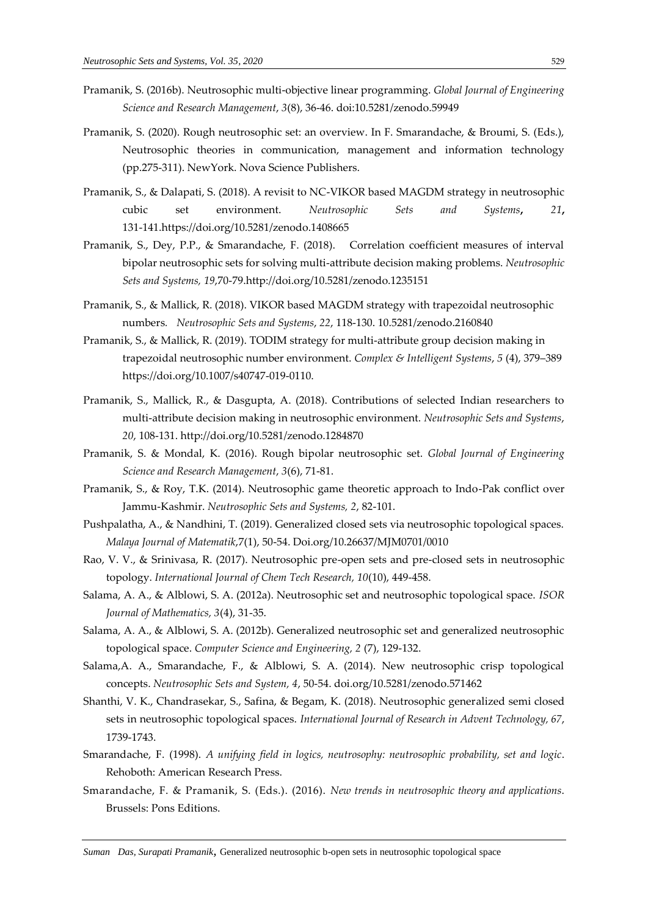- Pramanik, S. (2016b). Neutrosophic multi-objective linear programming. *Global Journal of Engineering Science and Research Management*, *3*(8), 36-46. doi:10.5281/zenodo.59949
- Pramanik, S. (2020). Rough neutrosophic set: an overview. In F. Smarandache, & Broumi, S. (Eds.), Neutrosophic theories in communication, management and information technology (pp.275-311). NewYork. Nova Science Publishers.
- Pramanik, S., & Dalapati, S. (2018). A revisit to NC-VIKOR based MAGDM strategy in neutrosophic cubic set environment. *Neutrosophic Sets and Systems***,** *21***,**  131-141.https://doi.org/10.5281/zenodo.1408665
- Pramanik, S., Dey, P.P., & Smarandache, F. (2018). Correlation coefficient measures of interval bipolar neutrosophic sets for solving multi-attribute decision making problems. *Neutrosophic Sets and Systems, 19*,70-79.http://doi.org/10.5281/zenodo.1235151
- Pramanik, S., & Mallick, R. (2018). [VIKOR based MAGDM strategy with trapezoidal neutrosophic](javascript:void(0))  [numbers](javascript:void(0))*. Neutrosophic Sets and Systems*, *22*, 118-130. [10.5281/zenodo.2160840](https://zenodo.org/record/2160841#.XA58V2gza00)
- Pramanik, S., & Mallick, R. (2019). [TODIM strategy for multi-attribute group decision making in](javascript:void(0))  [trapezoidal neutrosophic number environment.](javascript:void(0)) *Complex & Intelligent Systems*, *5* (4), 379–389 [https://doi.org/10.1007/s40747-019-0110.](https://doi.org/10.1007/s40747-019-0110)
- Pramanik, S., Mallick, R., & Dasgupta, A. (2018). Contributions of selected Indian researchers to multi-attribute decision making in neutrosophic environment. *Neutrosophic Sets and Systems*, *20*, 108-131. http://doi.org/10.5281/zenodo.1284870
- Pramanik, S. & Mondal, K. (2016). Rough bipolar neutrosophic set. *Global Journal of Engineering Science and Research Management*, *3*(6), 71-81.
- Pramanik, S., & Roy, T.K. (2014). Neutrosophic game theoretic approach to Indo-Pak conflict over Jammu-Kashmir. *Neutrosophic Sets and Systems, 2*, 82-101.
- Pushpalatha, A., & Nandhini, T. (2019). Generalized closed sets via neutrosophic topological spaces. *Malaya Journal of Matematik*,7(1), 50-54. Doi.org/10.26637/MJM0701/0010
- Rao, V. V., & Srinivasa, R. (2017). Neutrosophic pre-open sets and pre-closed sets in neutrosophic topology. *International Journal of Chem Tech Research, 10*(10), 449-458.
- Salama, A. A., & Alblowi, S. A. (2012a). Neutrosophic set and neutrosophic topological space. *ISOR Journal of Mathematics, 3*(4), 31-35.
- Salama, A. A., & Alblowi, S. A. (2012b). Generalized neutrosophic set and generalized neutrosophic topological space. *Computer Science and Engineering, 2* (7), 129-132.
- Salama,A. A., Smarandache, F., & Alblowi, S. A. (2014). New neutrosophic crisp topological concepts. *Neutrosophic Sets and System, 4*, 50-54. [doi.org/10.5281/zenodo.571462](https://doi.org/10.5281/zenodo.571462)
- Shanthi, V. K., Chandrasekar, S., Safina, & Begam, K. (2018). Neutrosophic generalized semi closed sets in neutrosophic topological spaces. *International Journal of Research in Advent Technology, 67*, 1739-1743.
- Smarandache, F. (1998). *A unifying field in logics, neutrosophy: neutrosophic probability, set and logic*. Rehoboth: American Research Press.
- Smarandache, F. & Pramanik, S. (Eds.). (2016). *New trends in neutrosophic theory and applications*. Brussels: Pons Editions.